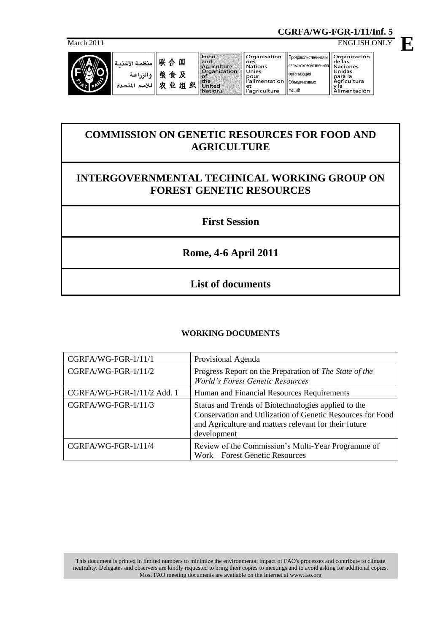**CGRFA/WG-FGR-1/11/Inf. 5**

March 2011 ENGLISH ONLY



نىة

## **COMMISSION ON GENETIC RESOURCES FOR FOOD AND AGRICULTURE**

## **INTERGOVERNMENTAL TECHNICAL WORKING GROUP ON FOREST GENETIC RESOURCES**

**First Session**

**Rome, 4-6 April 2011**

**List of documents**

## **WORKING DOCUMENTS**

| CGRFA/WG-FGR-1/11/1        | Provisional Agenda                                                                                                                                                                        |
|----------------------------|-------------------------------------------------------------------------------------------------------------------------------------------------------------------------------------------|
| CGRFA/WG-FGR-1/11/2        | Progress Report on the Preparation of The State of the<br><b>World's Forest Genetic Resources</b>                                                                                         |
| CGRFA/WG-FGR-1/11/2 Add. 1 | Human and Financial Resources Requirements                                                                                                                                                |
| CGRFA/WG-FGR-1/11/3        | Status and Trends of Biotechnologies applied to the<br>Conservation and Utilization of Genetic Resources for Food<br>and Agriculture and matters relevant for their future<br>development |
| CGRFA/WG-FGR-1/11/4        | Review of the Commission's Multi-Year Programme of<br>Work - Forest Genetic Resources                                                                                                     |

This document is printed in limited numbers to minimize the environmental impact of FAO's processes and contribute to climate neutrality. Delegates and observers are kindly requested to bring their copies to meetings and to avoid asking for additional copies. Most FAO meeting documents are available on the Internet at www.fao.org

**E**